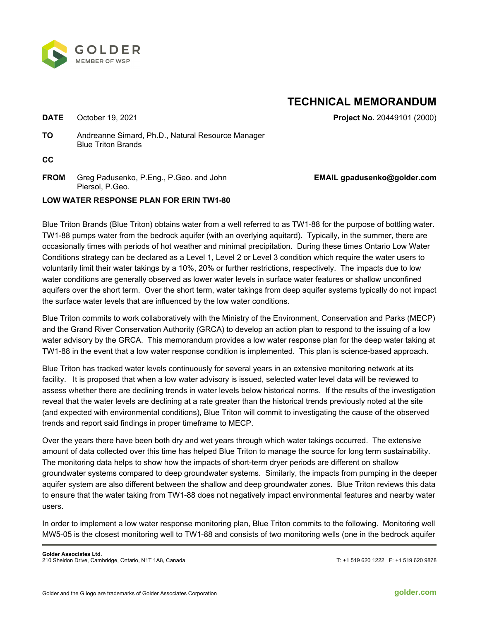

## **TECHNICAL MEMORANDUM**

**DATE** October 19, 2021 **Project No.** 20449101 (2000)

**TO** Andreanne Simard, Ph.D., Natural Resource Manager Blue Triton Brands

**CC** 

**FROM** Greg Padusenko, P.Eng., P.Geo. and John Piersol, P.Geo.

## **EMAIL gpadusenko@golder.com**

## **LOW WATER RESPONSE PLAN FOR ERIN TW1-80**

Blue Triton Brands (Blue Triton) obtains water from a well referred to as TW1-88 for the purpose of bottling water. TW1-88 pumps water from the bedrock aquifer (with an overlying aquitard). Typically, in the summer, there are occasionally times with periods of hot weather and minimal precipitation. During these times Ontario Low Water Conditions strategy can be declared as a Level 1, Level 2 or Level 3 condition which require the water users to voluntarily limit their water takings by a 10%, 20% or further restrictions, respectively. The impacts due to low water conditions are generally observed as lower water levels in surface water features or shallow unconfined aquifers over the short term. Over the short term, water takings from deep aquifer systems typically do not impact the surface water levels that are influenced by the low water conditions.

Blue Triton commits to work collaboratively with the Ministry of the Environment, Conservation and Parks (MECP) and the Grand River Conservation Authority (GRCA) to develop an action plan to respond to the issuing of a low water advisory by the GRCA. This memorandum provides a low water response plan for the deep water taking at TW1-88 in the event that a low water response condition is implemented. This plan is science-based approach.

Blue Triton has tracked water levels continuously for several years in an extensive monitoring network at its facility. It is proposed that when a low water advisory is issued, selected water level data will be reviewed to assess whether there are declining trends in water levels below historical norms. If the results of the investigation reveal that the water levels are declining at a rate greater than the historical trends previously noted at the site (and expected with environmental conditions), Blue Triton will commit to investigating the cause of the observed trends and report said findings in proper timeframe to MECP.

Over the years there have been both dry and wet years through which water takings occurred. The extensive amount of data collected over this time has helped Blue Triton to manage the source for long term sustainability. The monitoring data helps to show how the impacts of short-term dryer periods are different on shallow groundwater systems compared to deep groundwater systems. Similarly, the impacts from pumping in the deeper aquifer system are also different between the shallow and deep groundwater zones. Blue Triton reviews this data to ensure that the water taking from TW1-88 does not negatively impact environmental features and nearby water users.

In order to implement a low water response monitoring plan, Blue Triton commits to the following. Monitoring well MW5-05 is the closest monitoring well to TW1-88 and consists of two monitoring wells (one in the bedrock aquifer